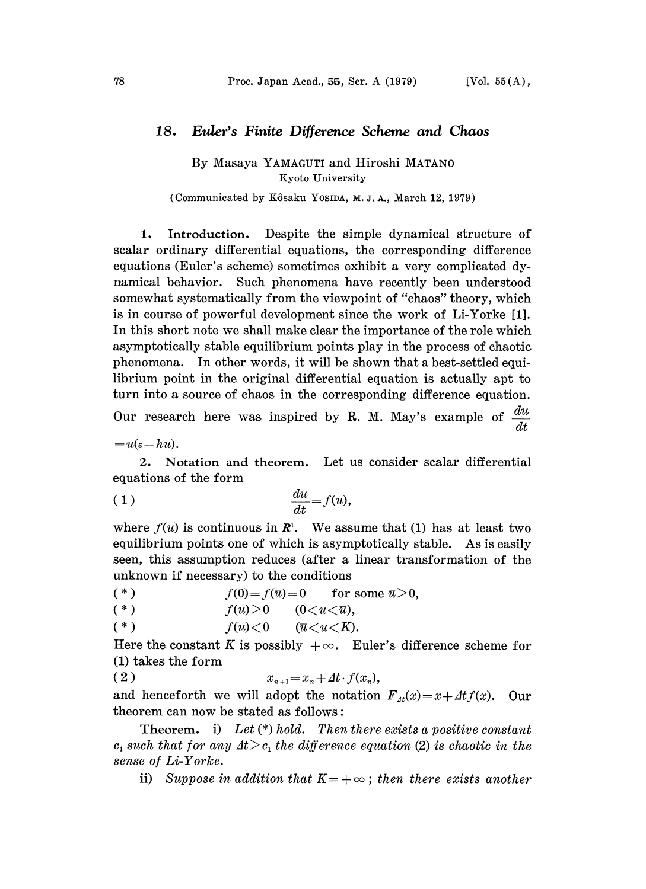## 18. Euler's Finite Difference Scheme and Chaos

By Masaya YAMAGUTI and Hiroshi MATANO Kyoto University

(Communicated by K6saku YOSIDA, M. J. A., March 12, 1979)

1. Introduction. Despite the simple dynamical structure of scalar ordinary differential equations, the corresponding difference equations (Euler's scheme) sometimes exhibit a very complicated dynamical behavior. Such phenomena have recently been understood somewhat systematically from the viewpoint of "chaos" theory, which is in course of powerful development since the work of Li-Yorke [1]. In this short note we shall make clear the importance of the role which asymptotically stable equilibrium points play in the process of chaotic phenomena. In other words., it will be shown that a best-settled equilibrium point in the original differential equation is actually apt to turn into a source of chaos in the corresponding difference equation. Our research here was inspired by R. M. May's example of  $\frac{du}{dx}$ dt

 $=u(\varepsilon-hu).$ 

2, Notation and theorem, Let us consider scalar differential equations of the form

( 1 ) du f(u), dt

where  $f(u)$  is continuous in  $\mathbb{R}^1$ . We assume that (1) has at least two equilibrium points one of which is asymptotically stable. As is easily seen, this assumption reduces (after a linear transformation of the unknown if necessary) to the conditions

$$
(*) \t f(0)=f(\overline{u})=0 \t for some \overline{u}>0,
$$

$$
(*) \t f(u) > 0 \t (0 < u < \overline{u}),
$$

$$
(*) \t f(u) < 0 \t (\overline{u} < u < K).
$$

Here the constant K is possibly  $+\infty$ . Euler's difference scheme for (1) takes the form

( 2 )  $x_{n+1} = x_n + At \cdot f(x_n),$ 

and henceforth we will adopt the notation  $F_{\mu}(x)=x+Atf(x)$ . Our theorem can now be stated as follows:

Theorem. i) Let  $(*)$  hold. Then there exists a positive constant c, such that for any  $\Delta t > c$ , the difference equation (2) is chaotic in the sense of Li-Yorke.

ii) Suppose in addition that  $K=+\infty$ ; then there exists another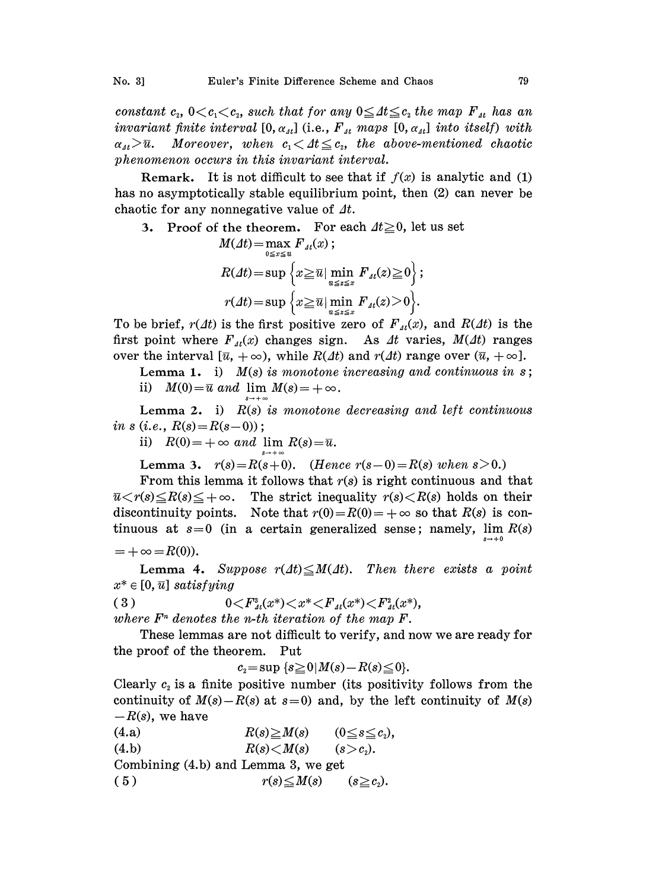constant  $c_2$ ,  $0 < c_1 < c_2$ , such that for any  $0 \leq \Delta t \leq c_2$  the map  $F_{\mu}$  has an invariant finite interval  $[0, \alpha_{\mu l}]$  (i.e.,  $F_{\mu t}$  maps  $[0, \alpha_{\mu l}]$  into itself) with  $\alpha_{1i} > \overline{u}$ . Moreover, when  $c_1 < At \leq c_2$ , the above-mentioned chaotic phenomenon occurs in this invariant interval.

Remark. It is not difficult to see that if  $f(x)$  is analytic and (1) has no asymptotically stable equilibrium point, then (2) can never be chaotic for any nonnegative value of  $\Delta t$ .

3. Proof of the theorem. For each 
$$
At \geq 0
$$
, let us set  $M(At) = \max_{0 \leq x \leq u} F_{\Lambda t}(x);$ \n
$$
R(At) = \sup \left\{ x \geq \overline{u} \mid \min_{u \leq x \leq x} F_{\Lambda t}(x) \geq 0 \right\};
$$
\n
$$
r(At) = \sup \left\{ x \geq \overline{u} \mid \min_{u \leq x \leq x} F_{\Lambda t}(x) > 0 \right\}.
$$

To be brief,  $r(\Delta t)$  is the first positive zero of  $F_{\mu}(x)$ , and  $R(\Delta t)$  is the first point where  $F_{\mu}(x)$  changes sign. As  $\mu$  varies,  $M(\mu)$  ranges over the interval  $[\bar{u}, +\infty)$ , while  $R(\Delta t)$  and  $r(\Delta t)$  range over  $(\bar{u}, +\infty]$ .

Lemma 1. i)  $M(s)$  is monotone increasing and continuous in s; ii)  $M(0) = \overline{u}$  and  $\lim M(s) = +\infty$ .

Lemma 2. i)  $R(s)$  is monotone decreasing and left continuous in s (i.e.,  $R(s) = R(s-0)$ );

ii)  $R(0) = +\infty$  and lim  $R(s) = \overline{u}$ .

Lemma 3.  $r(s) = R(s+0)$ . (Hence  $r(s-0) = R(s)$  when  $s > 0$ .)

From this lemma it follows that  $r(s)$  is right continuous and that  $\overline{u} \langle r(s) \leq R(s) \leq +\infty$ . The strict inequality  $r(s) \langle R(s) \rangle$  holds on their discontinuity points. Note that  $r(0)=R(0)=+\infty$  so that  $R(s)$  is continuous at  $s=0$  (in a certain generalized sense; namely, lim  $R(s)$ 

$$
=+\infty=R(0)).
$$

Lemma 4. Suppose  $r(4t) \leq M(4t)$ . Then there exists a point  $x^* \in [0, \overline{u}]$  satisfying

( 3 )  $0 \leq F_{4t}^{s}(x^{*}) \leq x^{*} \leq F_{4t}(x^{*}) \leq F_{4t}^{s}(x^{*}),$ where  $F<sup>n</sup>$  denotes the n-th iteration of the map  $F$ .

These lemmas are not difficult to verify, and now we are ready for the proof of the theorem. Put

 $c_2 = \sup \{s \geq 0 \mid M(s) - R(s) \leq 0\}.$ 

Clearly  $c_2$  is a finite positive number (its positivity follows from the continuity of  $M(s) - R(s)$  at  $s=0$ ) and, by the left continuity of  $M(s)$  $-R(s)$ , we have

(4.a)  $R(s) \geq M(s)$   $(0 \leq s \leq c_2),$ (4.b)  $R(s) < M(s)$  (s  $> c<sub>s</sub>$ ). Combining (4.b) and Lemma 3, we get ( 5 )  $r(s) \leq M(s)$  (s  $\geq c_2$ ).